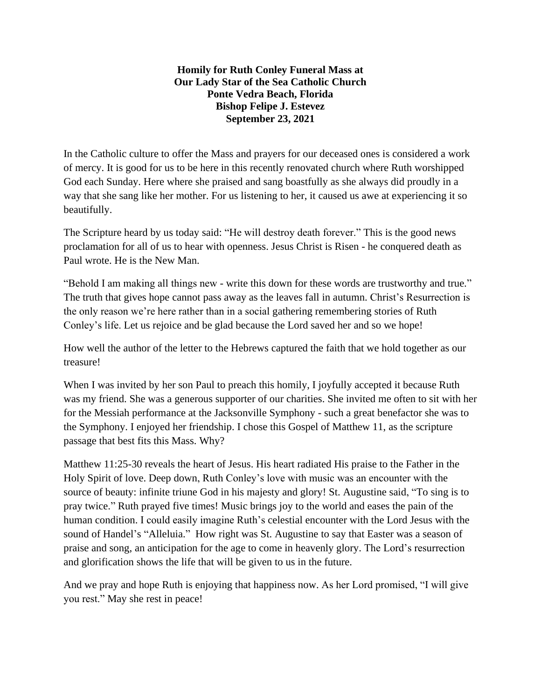**Homily for Ruth Conley Funeral Mass at Our Lady Star of the Sea Catholic Church Ponte Vedra Beach, Florida Bishop Felipe J. Estevez September 23, 2021**

In the Catholic culture to offer the Mass and prayers for our deceased ones is considered a work of mercy. It is good for us to be here in this recently renovated church where Ruth worshipped God each Sunday. Here where she praised and sang boastfully as she always did proudly in a way that she sang like her mother. For us listening to her, it caused us awe at experiencing it so beautifully.

The Scripture heard by us today said: "He will destroy death forever." This is the good news proclamation for all of us to hear with openness. Jesus Christ is Risen - he conquered death as Paul wrote. He is the New Man.

"Behold I am making all things new - write this down for these words are trustworthy and true." The truth that gives hope cannot pass away as the leaves fall in autumn. Christ's Resurrection is the only reason we're here rather than in a social gathering remembering stories of Ruth Conley's life. Let us rejoice and be glad because the Lord saved her and so we hope!

How well the author of the letter to the Hebrews captured the faith that we hold together as our treasure!

When I was invited by her son Paul to preach this homily, I joyfully accepted it because Ruth was my friend. She was a generous supporter of our charities. She invited me often to sit with her for the Messiah performance at the Jacksonville Symphony - such a great benefactor she was to the Symphony. I enjoyed her friendship. I chose this Gospel of Matthew 11, as the scripture passage that best fits this Mass. Why?

Matthew 11:25-30 reveals the heart of Jesus. His heart radiated His praise to the Father in the Holy Spirit of love. Deep down, Ruth Conley's love with music was an encounter with the source of beauty: infinite triune God in his majesty and glory! St. Augustine said, "To sing is to pray twice." Ruth prayed five times! Music brings joy to the world and eases the pain of the human condition. I could easily imagine Ruth's celestial encounter with the Lord Jesus with the sound of Handel's "Alleluia." How right was St. Augustine to say that Easter was a season of praise and song, an anticipation for the age to come in heavenly glory. The Lord's resurrection and glorification shows the life that will be given to us in the future.

And we pray and hope Ruth is enjoying that happiness now. As her Lord promised, "I will give you rest." May she rest in peace!